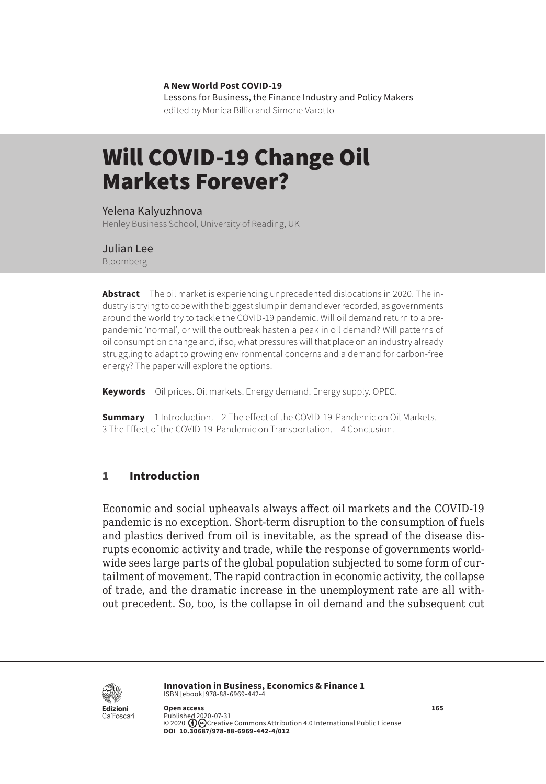**A New World Post COVID-19** Lessons for Business, the Finance Industry and Policy Makers

edited by Monica Billio and Simone Varotto

# Will COVID-19 Change Oil Markets Forever?

#### Yelena Kalyuzhnova

Henley Business School, University of Reading, UK

#### Julian Lee

Bloomberg

**Abstract** The oil market is experiencing unprecedented dislocations in 2020. The industry is trying to cope with the biggest slump in demand ever recorded, as governments around the world try to tackle the COVID-19 pandemic. Will oil demand return to a prepandemic 'normal', or will the outbreak hasten a peak in oil demand? Will patterns of oil consumption change and, if so, what pressures will that place on an industry already struggling to adapt to growing environmental concerns and a demand for carbon-free energy? The paper will explore the options.

**Keywords** Oil prices. Oil markets. Energy demand. Energy supply. OPEC.

**Summary** [1 Introduction.](#page-1-0) – [2 The effect of the COVID-19-Pandemic on Oil Markets](#page-1-0). – 3 [The Effect of the COVID-19-Pandemic on Transportation.](#page-6-0) – [4 Conclusion.](#page-8-0)

## 1 Introduction

Economic and social upheavals always affect oil markets and the COVID-19 pandemic is no exception. Short-term disruption to the consumption of fuels and plastics derived from oil is inevitable, as the spread of the disease disrupts economic activity and trade, while the response of governments worldwide sees large parts of the global population subjected to some form of curtailment of movement. The rapid contraction in economic activity, the collapse of trade, and the dramatic increase in the unemployment rate are all without precedent. So, too, is the collapse in oil demand and the subsequent cut



**Innovation in Business, Economics & Finance 1** ISBN [ebook] 978-88-6969-442-4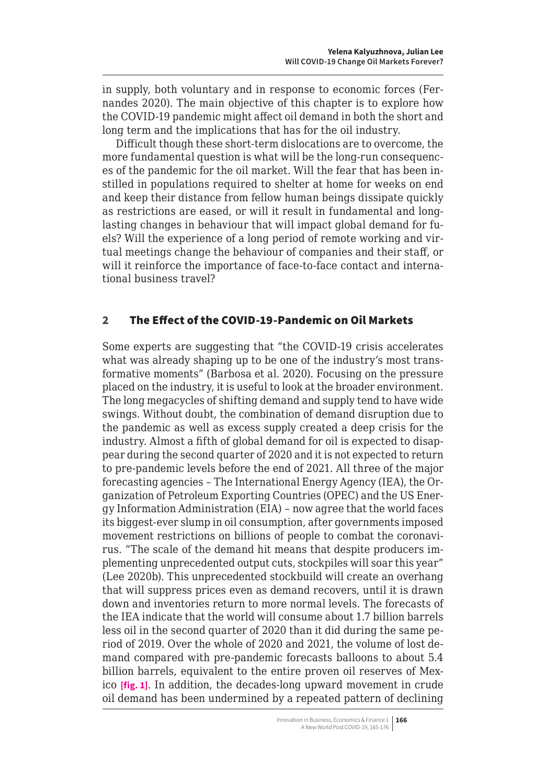<span id="page-1-0"></span>in supply, both voluntary and in response to economic forces (Fernandes 2020). The main objective of this chapter is to explore how the COVID-19 pandemic might affect oil demand in both the short and long term and the implications that has for the oil industry.

Difficult though these short-term dislocations are to overcome, the more fundamental question is what will be the long-run consequences of the pandemic for the oil market. Will the fear that has been instilled in populations required to shelter at home for weeks on end and keep their distance from fellow human beings dissipate quickly as restrictions are eased, or will it result in fundamental and longlasting changes in behaviour that will impact global demand for fuels? Will the experience of a long period of remote working and virtual meetings change the behaviour of companies and their staff, or will it reinforce the importance of face-to-face contact and international business travel?

## 2 The Effect of the COVID-19-Pandemic on Oil Markets

Some experts are suggesting that "the COVID-19 crisis accelerates what was already shaping up to be one of the industry's most transformative moments" (Barbosa et al. 2020). Focusing on the pressure placed on the industry, it is useful to look at the broader environment. The long megacycles of shifting demand and supply tend to have wide swings. Without doubt, the combination of demand disruption due to the pandemic as well as excess supply created a deep crisis for the industry. Almost a fifth of global demand for oil is expected to disappear during the second quarter of 2020 and it is not expected to return to pre-pandemic levels before the end of 2021. All three of the major forecasting agencies – The International Energy Agency (IEA), the Organization of Petroleum Exporting Countries (OPEC) and the US Energy Information Administration (EIA) – now agree that the world faces its biggest-ever slump in oil consumption, after governments imposed movement restrictions on billions of people to combat the coronavirus. "The scale of the demand hit means that despite producers implementing unprecedented output cuts, stockpiles will soar this year" (Lee 2020b). This unprecedented stockbuild will create an overhang that will suppress prices even as demand recovers, until it is drawn down and inventories return to more normal levels. The forecasts of the IEA indicate that the world will consume about 1.7 billion barrels less oil in the second quarter of 2020 than it did during the same period of 2019. Over the whole of 2020 and 2021, the volume of lost demand compared with pre-pandemic forecasts balloons to about 5.4 billion barrels, equivalent to the entire proven oil reserves of Mexico **[fig. 1]**. In addition, the decades-long upward movement in crude oil demand has been undermined by a repeated pattern of declining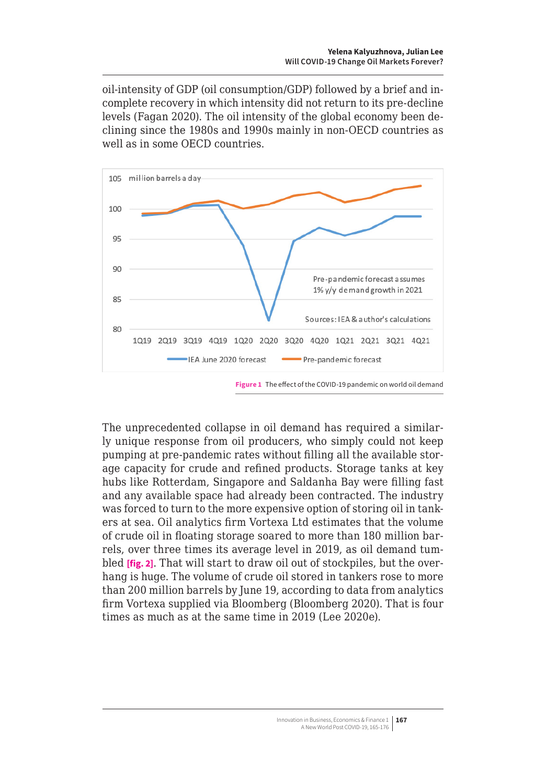oil-intensity of GDP (oil consumption/GDP) followed by a brief and incomplete recovery in which intensity did not return to its pre-decline levels (Fagan 2020). The oil intensity of the global economy been declining since the 1980s and 1990s mainly in non-OECD countries as well as in some OECD countries.



**Figure 1** The effect of the COVID-19 pandemic on world oil demand

The unprecedented collapse in oil demand has required a similarly unique response from oil producers, who simply could not keep pumping at pre-pandemic rates without filling all the available storage capacity for crude and refined products. Storage tanks at key hubs like Rotterdam, Singapore and Saldanha Bay were filling fast and any available space had already been contracted. The industry was forced to turn to the more expensive option of storing oil in tankers at sea. Oil analytics firm Vortexa Ltd estimates that the volume of crude oil in floating storage soared to more than 180 million barrels, over three times its average level in 2019, as oil demand tumbled **[fig. 2]**. That will start to draw oil out of stockpiles, but the overhang is huge. The volume of crude oil stored in tankers rose to more than 200 million barrels by June 19, according to data from analytics firm Vortexa supplied via Bloomberg (Bloomberg 2020). That is four times as much as at the same time in 2019 (Lee 2020e).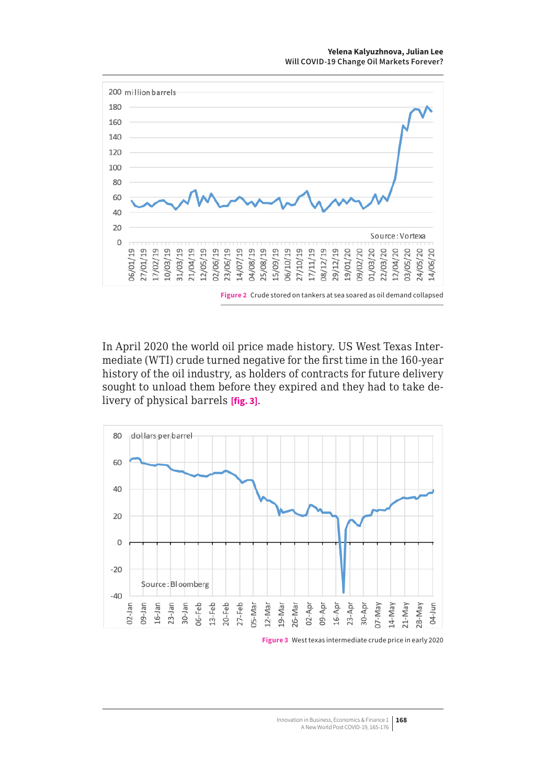

In April 2020 the world oil price made history. US West Texas Intermediate (WTI) crude turned negative for the first time in the 160-year history of the oil industry, as holders of contracts for future delivery sought to unload them before they expired and they had to take delivery of physical barrels **[fig. 3]**.



**Figure 3** West texas intermediate crude price in early 2020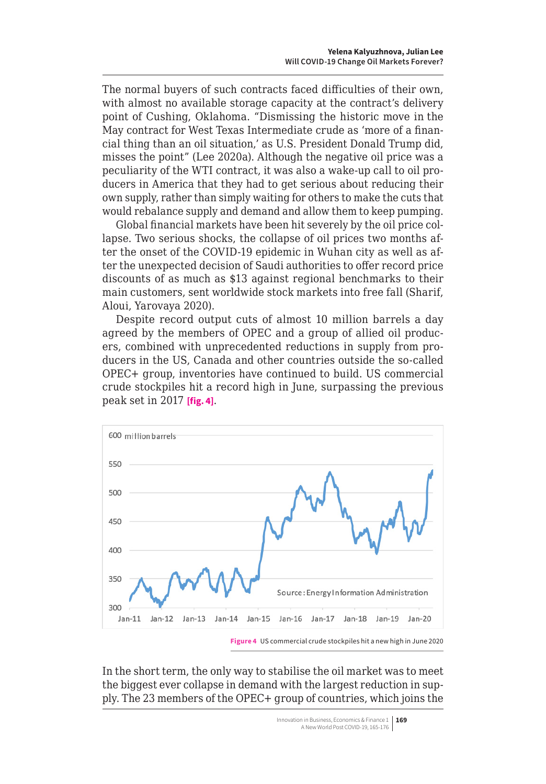The normal buyers of such contracts faced difficulties of their own, with almost no available storage capacity at the contract's delivery point of Cushing, Oklahoma. "Dismissing the historic move in the May contract for West Texas Intermediate crude as 'more of a financial thing than an oil situation,' as U.S. President Donald Trump did, misses the point" (Lee 2020a). Although the negative oil price was a peculiarity of the WTI contract, it was also a wake-up call to oil producers in America that they had to get serious about reducing their own supply, rather than simply waiting for others to make the cuts that would rebalance supply and demand and allow them to keep pumping.

Global financial markets have been hit severely by the oil price collapse. Two serious shocks, the collapse of oil prices two months after the onset of the COVID-19 epidemic in Wuhan city as well as after the unexpected decision of Saudi authorities to offer record price discounts of as much as \$13 against regional benchmarks to their main customers, sent worldwide stock markets into free fall (Sharif, Aloui, Yarovaya 2020).

Despite record output cuts of almost 10 million barrels a day agreed by the members of OPEC and a group of allied oil producers, combined with unprecedented reductions in supply from producers in the US, Canada and other countries outside the so-called OPEC+ group, inventories have continued to build. US commercial crude stockpiles hit a record high in June, surpassing the previous peak set in 2017 **[fig. 4]**.



In the short term, the only way to stabilise the oil market was to meet the biggest ever collapse in demand with the largest reduction in supply. The 23 members of the OPEC+ group of countries, which joins the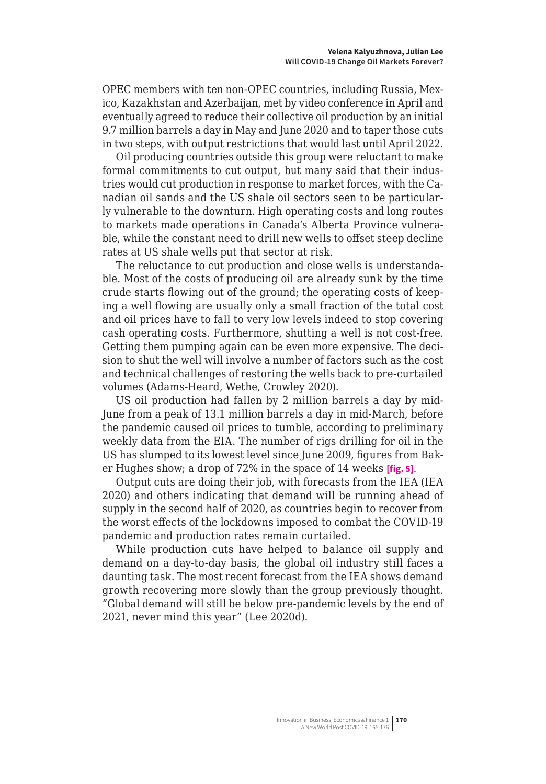OPEC members with ten non-OPEC countries, including Russia, Mexico, Kazakhstan and Azerbaijan, met by video conference in April and eventually agreed to reduce their collective oil production by an initial 9.7 million barrels a day in May and June 2020 and to taper those cuts in two steps, with output restrictions that would last until April 2022.

Oil producing countries outside this group were reluctant to make formal commitments to cut output, but many said that their industries would cut production in response to market forces, with the Canadian oil sands and the US shale oil sectors seen to be particularly vulnerable to the downturn. High operating costs and long routes to markets made operations in Canada's Alberta Province vulnerable, while the constant need to drill new wells to offset steep decline rates at US shale wells put that sector at risk.

The reluctance to cut production and close wells is understandable. Most of the costs of producing oil are already sunk by the time crude starts flowing out of the ground; the operating costs of keeping a well flowing are usually only a small fraction of the total cost and oil prices have to fall to very low levels indeed to stop covering cash operating costs. Furthermore, shutting a well is not cost-free. Getting them pumping again can be even more expensive. The decision to shut the well will involve a number of factors such as the cost and technical challenges of restoring the wells back to pre-curtailed volumes (Adams-Heard, Wethe, Crowley 2020).

US oil production had fallen by 2 million barrels a day by mid-June from a peak of 13.1 million barrels a day in mid-March, before the pandemic caused oil prices to tumble, according to preliminary weekly data from the EIA. The number of rigs drilling for oil in the US has slumped to its lowest level since June 2009, figures from Baker Hughes show; a drop of 72% in the space of 14 weeks **[fig. 5]**.

Output cuts are doing their job, with forecasts from the IEA (IEA 2020) and others indicating that demand will be running ahead of supply in the second half of 2020, as countries begin to recover from the worst effects of the lockdowns imposed to combat the COVID-19 pandemic and production rates remain curtailed.

While production cuts have helped to balance oil supply and demand on a day-to-day basis, the global oil industry still faces a daunting task. The most recent forecast from the IEA shows demand growth recovering more slowly than the group previously thought. "Global demand will still be below pre-pandemic levels by the end of 2021, never mind this year" (Lee 2020d).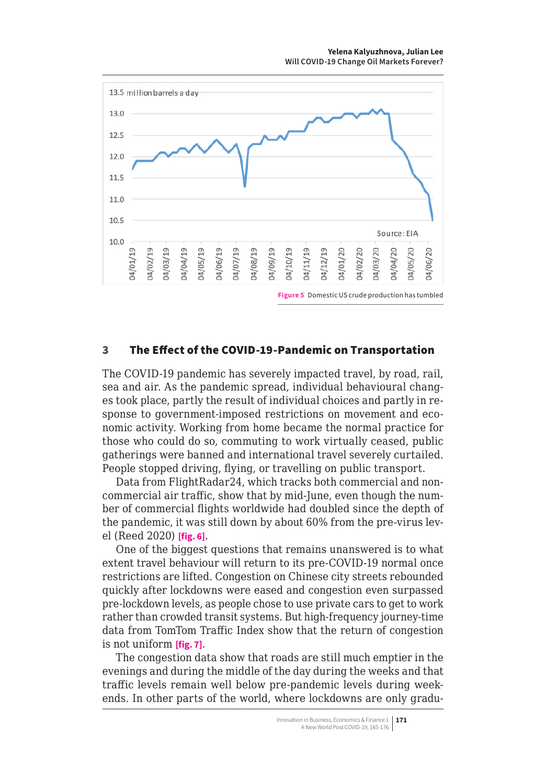<span id="page-6-0"></span>

#### 3 The Effect of the COVID-19-Pandemic on Transportation

The COVID-19 pandemic has severely impacted travel, by road, rail, sea and air. As the pandemic spread, individual behavioural changes took place, partly the result of individual choices and partly in response to government-imposed restrictions on movement and economic activity. Working from home became the normal practice for those who could do so, commuting to work virtually ceased, public gatherings were banned and international travel severely curtailed. People stopped driving, flying, or travelling on public transport.

Data from FlightRadar24, which tracks both commercial and noncommercial air traffic, show that by mid-June, even though the number of commercial flights worldwide had doubled since the depth of the pandemic, it was still down by about 60% from the pre-virus level (Reed 2020) **[fig. 6]**.

One of the biggest questions that remains unanswered is to what extent travel behaviour will return to its pre-COVID-19 normal once restrictions are lifted. Congestion on Chinese city streets rebounded quickly after lockdowns were eased and congestion even surpassed pre-lockdown levels, as people chose to use private cars to get to work rather than crowded transit systems. But high-frequency journey-time data from TomTom Traffic Index show that the return of congestion is not uniform **[fig. 7]**.

The congestion data show that roads are still much emptier in the evenings and during the middle of the day during the weeks and that traffic levels remain well below pre-pandemic levels during weekends. In other parts of the world, where lockdowns are only gradu-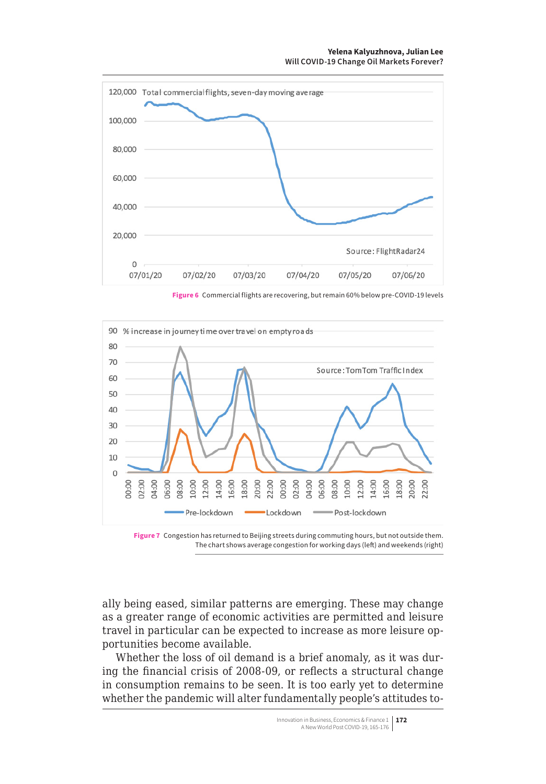

**Figure 6** Commercial flights are recovering, but remain 60% below pre-COVID-19 levels





ally being eased, similar patterns are emerging. These may change as a greater range of economic activities are permitted and leisure travel in particular can be expected to increase as more leisure opportunities become available.

Whether the loss of oil demand is a brief anomaly, as it was during the financial crisis of 2008-09, or reflects a structural change in consumption remains to be seen. It is too early yet to determine whether the pandemic will alter fundamentally people's attitudes to-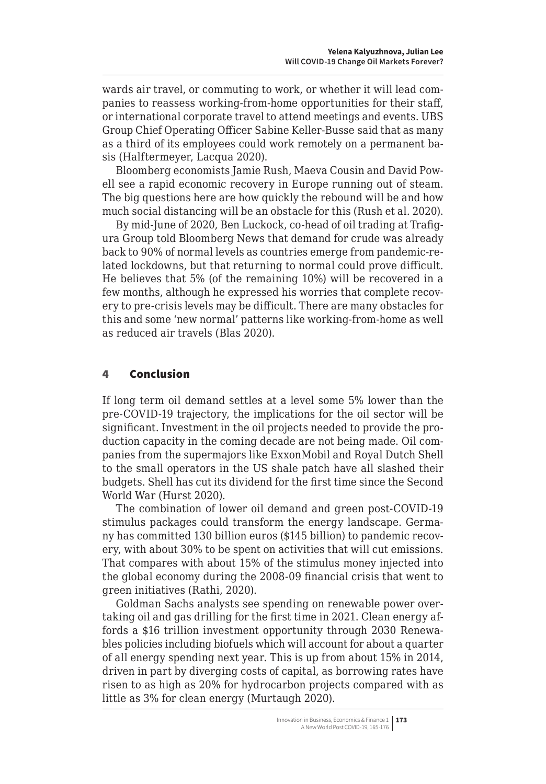<span id="page-8-0"></span>wards air travel, or commuting to work, or whether it will lead companies to reassess working-from-home opportunities for their staff, or international corporate travel to attend meetings and events. UBS Group Chief Operating Officer Sabine Keller-Busse said that as many as a third of its employees could work remotely on a permanent basis (Halftermeyer, Lacqua 2020).

Bloomberg economists Jamie Rush, Maeva Cousin and David Powell see a rapid economic recovery in Europe running out of steam. The big questions here are how quickly the rebound will be and how much social distancing will be an obstacle for this (Rush et al. 2020).

By mid-June of 2020, Ben Luckock, co-head of oil trading at Trafigura Group told Bloomberg News that demand for crude was already back to 90% of normal levels as countries emerge from pandemic-related lockdowns, but that returning to normal could prove difficult. He believes that 5% (of the remaining 10%) will be recovered in a few months, although he expressed his worries that complete recovery to pre-crisis levels may be difficult. There are many obstacles for this and some 'new normal' patterns like working-from-home as well as reduced air travels (Blas 2020).

#### 4 Conclusion

If long term oil demand settles at a level some 5% lower than the pre-COVID-19 trajectory, the implications for the oil sector will be significant. Investment in the oil projects needed to provide the production capacity in the coming decade are not being made. Oil companies from the supermajors like ExxonMobil and Royal Dutch Shell to the small operators in the US shale patch have all slashed their budgets. Shell has cut its dividend for the first time since the Second World War (Hurst 2020).

The combination of lower oil demand and green post-COVID-19 stimulus packages could transform the energy landscape. Germany has committed 130 billion euros (\$145 billion) to pandemic recovery, with about 30% to be spent on activities that will cut emissions. That compares with about 15% of the stimulus money injected into the global economy during the 2008-09 financial crisis that went to green initiatives (Rathi, 2020).

Goldman Sachs analysts see spending on renewable power overtaking oil and gas drilling for the first time in 2021. Clean energy affords a \$16 trillion investment opportunity through 2030 Renewables policies including biofuels which will account for about a quarter of all energy spending next year. This is up from about 15% in 2014, driven in part by diverging costs of capital, as borrowing rates have risen to as high as 20% for hydrocarbon projects compared with as little as 3% for clean energy (Murtaugh 2020).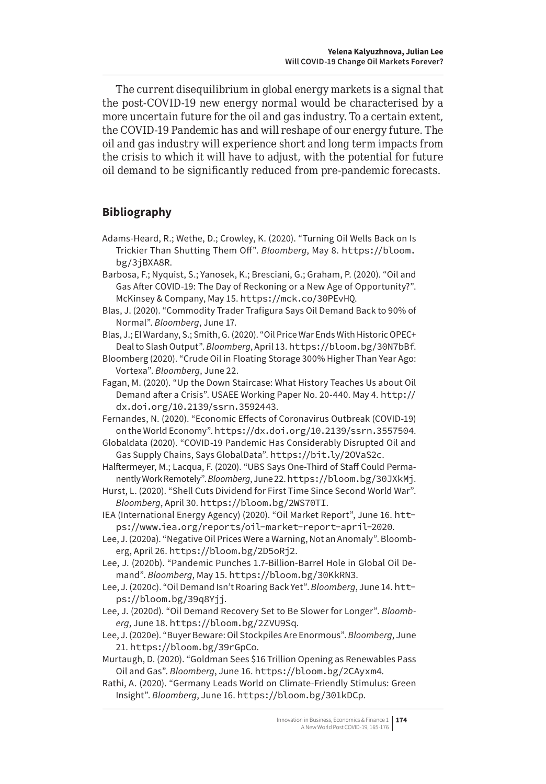The current disequilibrium in global energy markets is a signal that the post-COVID-19 new energy normal would be characterised by a more uncertain future for the oil and gas industry. To a certain extent, the COVID-19 Pandemic has and will reshape of our energy future. The oil and gas industry will experience short and long term impacts from the crisis to which it will have to adjust, with the potential for future oil demand to be significantly reduced from pre-pandemic forecasts.

## **Bibliography**

- Adams-Heard, R.; Wethe, D.; Crowley, K. (2020). "Turning Oil Wells Back on Is Trickier Than Shutting Them Off". *Bloomberg*, May 8. https://bloom. bg/3jBXA8R.
- Barbosa, F.; Nyquist, S.; Yanosek, K.; Bresciani, G.; Graham, P. (2020). "Oil and Gas After COVID-19: The Day of Reckoning or a New Age of Opportunity?". McKinsey & Company, May 15. https://mck.co/30PEvHQ.
- Blas, J. (2020). "Commodity Trader Trafigura Says Oil Demand Back to 90% of Normal". *Bloomberg*, June 17.

Blas, J.; El Wardany, S.; Smith, G. (2020). "Oil Price War Ends With Historic OPEC+ Deal to Slash Output". *Bloomberg*, April 13. https://bloom.bg/30N7bBf.

- Bloomberg (2020). "Crude Oil in Floating Storage 300% Higher Than Year Ago: Vortexa". *Bloomberg*, June 22.
- Fagan, M. (2020). "Up the Down Staircase: What History Teaches Us about Oil Demand after a Crisis". USAEE Working Paper No. 20-440. May 4. [http://](http://dx.doi.org/10.2139/ssrn.3592443) [dx.doi.org/10.2139/ssrn.3592443](http://dx.doi.org/10.2139/ssrn.3592443).
- Fernandes, N. (2020). "Economic Effects of Coronavirus Outbreak (COVID-19) on the World Economy". <https://dx.doi.org/10.2139/ssrn.3557504>.

Globaldata (2020). "COVID-19 Pandemic Has Considerably Disrupted Oil and Gas Supply Chains, Says GlobalData". https://bit.ly/2OVaS2c.

- Halftermeyer, M.; Lacqua, F. (2020). "UBS Says One-Third of Staff Could Permanently Work Remotely". *Bloomberg*, June 22. https://bloom.bg/30JXkMj.
- Hurst, L. (2020). "Shell Cuts Dividend for First Time Since Second World War". *Bloomberg*, April 30. https://bloom.bg/2WS70TI.
- IEA (International Energy Agency) (2020). "Oil Market Report", June 16. [htt](https://www.iea.org/reports/oil-market-report-april-2020)[ps://www.iea.org/reports/oil-market-report-april-2020](https://www.iea.org/reports/oil-market-report-april-2020).
- Lee, J. (2020a). "Negative Oil Prices Were a Warning, Not an Anomaly". Bloomberg, April 26. https://bloom.bg/2D5oRj2.
- Lee, J. (2020b). "Pandemic Punches 1.7-Billion-Barrel Hole in Global Oil Demand". *Bloomberg*, May 15. https://bloom.bg/30KkRN3.
- Lee, J. (2020c). "Oil Demand Isn't Roaring Back Yet". *Bloomberg*, June 14. https://bloom.bg/39q8Yjj.
- Lee, J. (2020d). "Oil Demand Recovery Set to Be Slower for Longer". *Bloomberg*, June 18. https://bloom.bg/2ZVU9Sq.
- Lee, J. (2020e). "Buyer Beware: Oil Stockpiles Are Enormous". *Bloomberg*, June 21. https://bloom.bg/39rGpCo.
- Murtaugh, D. (2020). "Goldman Sees \$16 Trillion Opening as Renewables Pass Oil and Gas". *Bloomberg*, June 16. https://bloom.bg/2CAyxm4.
- Rathi, A. (2020). "Germany Leads World on Climate-Friendly Stimulus: Green Insight". *Bloomberg*, June 16. https://bloom.bg/301kDCp.